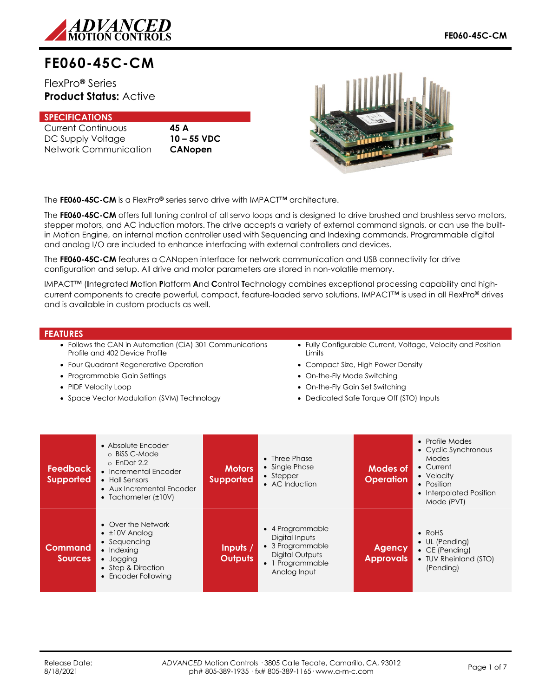

# **FE060-45C-CM**

FlexPro**®** Series **Product Status:** Active

## **SPECIFICATIONS**

Current Continuous **45 A** DC Supply Voltage **10 – 55 VDC** Network Communication **CANopen**



The **FE060-45C-CM** is a FlexPro**®** series servo drive with IMPACT™ architecture.

The **FE060-45C-CM** offers full tuning control of all servo loops and is designed to drive brushed and brushless servo motors, stepper motors, and AC induction motors. The drive accepts a variety of external command signals, or can use the builtin Motion Engine, an internal motion controller used with Sequencing and Indexing commands. Programmable digital and analog I/O are included to enhance interfacing with external controllers and devices.

The **FE060-45C-CM** features a CANopen interface for network communication and USB connectivity for drive configuration and setup. All drive and motor parameters are stored in non-volatile memory.

IMPACT™ (**I**ntegrated **M**otion **P**latform **A**nd **C**ontrol **T**echnology combines exceptional processing capability and highcurrent components to create powerful, compact, feature-loaded servo solutions. IMPACT™ is used in all FlexPro**®** drives and is available in custom products as well.

## **FEATURES**

- Follows the CAN in Automation (CiA) 301 Communications Profile and 402 Device Profile
- Four Quadrant Regenerative Operation
- Programmable Gain Settings
- PIDF Velocity Loop
- Space Vector Modulation (SVM) Technology
- Fully Configurable Current, Voltage, Velocity and Position **Limits**
- Compact Size, High Power Density
- On-the-Fly Mode Switching
- On-the-Fly Gain Set Switching
- Dedicated Safe Torque Off (STO) Inputs

| <b>Feedback</b><br><b>Supported</b> | • Absolute Encoder<br>o BiSS C-Mode<br>$\circ$ EnDat 2.2<br>• Incremental Encoder<br>• Hall Sensors<br>• Aux Incremental Encoder<br>• Tachometer $(\pm 10V)$ | <b>Motors</b><br><b>Supported</b> | $\bullet$ Three Phase<br>• Single Phase<br>$\bullet$ Stepper<br>• AC Induction                                | Modes of<br><b>Operation</b>      | • Profile Modes<br>• Cyclic Synchronous<br>Modes<br>• Current<br>• Velocity<br>• Position<br>• Interpolated Position<br>Mode (PVT) |
|-------------------------------------|--------------------------------------------------------------------------------------------------------------------------------------------------------------|-----------------------------------|---------------------------------------------------------------------------------------------------------------|-----------------------------------|------------------------------------------------------------------------------------------------------------------------------------|
| <b>Command</b><br><b>Sources</b>    | • Over the Network<br>$\cdot$ ±10V Analog<br>• Sequencing<br>$\bullet$ Indexing<br>• Jogging<br>• Step & Direction<br>• Encoder Following                    | Inputs /<br><b>Outputs</b>        | • 4 Programmable<br>Digital Inputs<br>• 3 Programmable<br>Digital Outputs<br>• 1 Programmable<br>Analog Input | <b>Agency</b><br><b>Approvals</b> | $\bullet$ RoHS<br>• UL (Pending)<br>$\bullet$ CE (Pending)<br>• TUV Rheinland (STO)<br>(Pending)                                   |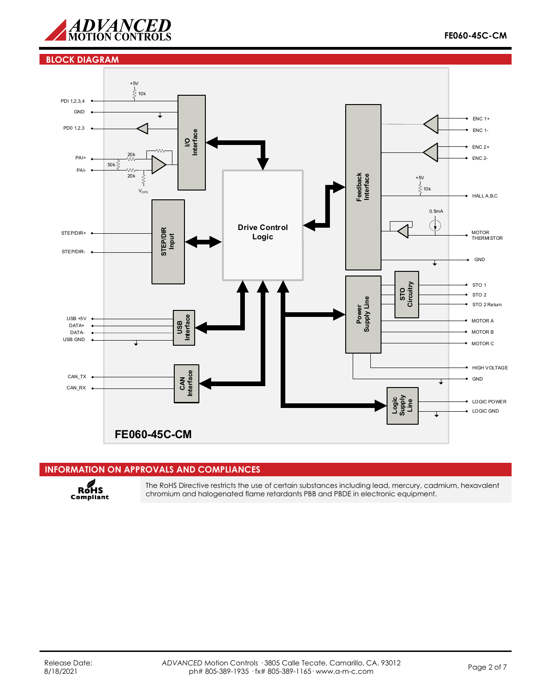

## **BLOCK DIAGRAM**



# **INFORMATION ON APPROVALS AND COMPLIANCES**



The RoHS Directive restricts the use of certain substances including lead, mercury, cadmium, hexavalent chromium and halogenated flame retardants PBB and PBDE in electronic equipment.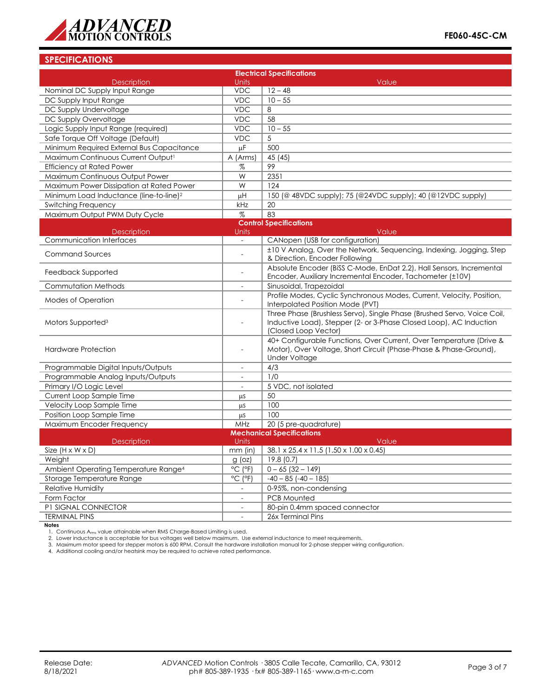

## **SPECIFICATIONS**

| <b>Electrical Specifications</b>                                                 |                          |                                                                                                                                                                       |  |  |  |
|----------------------------------------------------------------------------------|--------------------------|-----------------------------------------------------------------------------------------------------------------------------------------------------------------------|--|--|--|
| <b>Description</b>                                                               | <b>Units</b>             | Value                                                                                                                                                                 |  |  |  |
| Nominal DC Supply Input Range                                                    | <b>VDC</b>               | $12 - 48$                                                                                                                                                             |  |  |  |
| DC Supply Input Range                                                            | <b>VDC</b>               | $10 - 55$                                                                                                                                                             |  |  |  |
| DC Supply Undervoltage                                                           | <b>VDC</b>               | 8                                                                                                                                                                     |  |  |  |
| DC Supply Overvoltage                                                            | <b>VDC</b>               | 58                                                                                                                                                                    |  |  |  |
| Logic Supply Input Range (required)                                              | <b>VDC</b>               | $10 - 55$                                                                                                                                                             |  |  |  |
| Safe Torque Off Voltage (Default)                                                | <b>VDC</b>               | 5                                                                                                                                                                     |  |  |  |
| Minimum Required External Bus Capacitance                                        | uF                       | 500                                                                                                                                                                   |  |  |  |
| Maximum Continuous Current Output <sup>1</sup>                                   | A (Arms)                 | 45 (45)                                                                                                                                                               |  |  |  |
| <b>Efficiency at Rated Power</b>                                                 | $\%$                     | 99                                                                                                                                                                    |  |  |  |
| Maximum Continuous Output Power                                                  | W                        | 2351                                                                                                                                                                  |  |  |  |
| Maximum Power Dissipation at Rated Power                                         | W                        | 124                                                                                                                                                                   |  |  |  |
| Minimum Load Inductance (line-to-line) <sup>2</sup>                              | μH                       | 150 (@ 48VDC supply); 75 (@24VDC supply); 40 (@12VDC supply)                                                                                                          |  |  |  |
| Switching Frequency                                                              | kHz                      | 20                                                                                                                                                                    |  |  |  |
| Maximum Output PWM Duty Cycle                                                    | $\%$                     | 83                                                                                                                                                                    |  |  |  |
|                                                                                  |                          | <b>Control Specifications</b>                                                                                                                                         |  |  |  |
| <b>Description</b>                                                               | <b>Units</b>             | Value                                                                                                                                                                 |  |  |  |
| <b>Communication Interfaces</b>                                                  | $\blacksquare$           | CANopen (USB for configuration)                                                                                                                                       |  |  |  |
| <b>Command Sources</b>                                                           |                          | ±10 V Analog, Over the Network, Sequencing, Indexing, Jogging, Step<br>& Direction, Encoder Following                                                                 |  |  |  |
| Feedback Supported                                                               |                          | Absolute Encoder (BiSS C-Mode, EnDat 2.2), Hall Sensors, Incremental<br>Encoder, Auxiliary Incremental Encoder, Tachometer (±10V)                                     |  |  |  |
| <b>Commutation Methods</b>                                                       | $\overline{a}$           | Sinusoidal, Trapezoidal                                                                                                                                               |  |  |  |
| <b>Modes of Operation</b>                                                        | $\overline{a}$           | Profile Modes, Cyclic Synchronous Modes, Current, Velocity, Position,<br>Interpolated Position Mode (PVT)                                                             |  |  |  |
| Motors Supported <sup>3</sup>                                                    |                          | Three Phase (Brushless Servo), Single Phase (Brushed Servo, Voice Coil,<br>Inductive Load), Stepper (2- or 3-Phase Closed Loop), AC Induction<br>(Closed Loop Vector) |  |  |  |
| <b>Hardware Protection</b>                                                       | $\overline{\phantom{a}}$ | 40+ Configurable Functions, Over Current, Over Temperature (Drive &<br>Motor), Over Voltage, Short Circuit (Phase-Phase & Phase-Ground),<br><b>Under Voltage</b>      |  |  |  |
| Programmable Digital Inputs/Outputs                                              | $\overline{\phantom{a}}$ | 4/3                                                                                                                                                                   |  |  |  |
| Programmable Analog Inputs/Outputs                                               | $\overline{\phantom{a}}$ | 1/0                                                                                                                                                                   |  |  |  |
| Primary I/O Logic Level                                                          | $\blacksquare$           | 5 VDC, not isolated                                                                                                                                                   |  |  |  |
| Current Loop Sample Time                                                         | μS                       | 50                                                                                                                                                                    |  |  |  |
| Velocity Loop Sample Time                                                        | $\mu$ s                  | 100                                                                                                                                                                   |  |  |  |
| Position Loop Sample Time                                                        | <b>LLS</b>               | 100                                                                                                                                                                   |  |  |  |
| Maximum Encoder Frequency                                                        | <b>MHz</b>               | 20 (5 pre-quadrature)                                                                                                                                                 |  |  |  |
| <b>Mechanical Specifications</b>                                                 |                          |                                                                                                                                                                       |  |  |  |
| <b>Description</b>                                                               | <b>Units</b>             | Value                                                                                                                                                                 |  |  |  |
| Size $(H \times W \times D)$                                                     | $mm$ (in)                | 38.1 x 25.4 x 11.5 (1.50 x 1.00 x 0.45)                                                                                                                               |  |  |  |
| Weight<br>$g$ (oz)                                                               |                          | 19.8(0.7)                                                                                                                                                             |  |  |  |
| Ambient Operating Temperature Range <sup>4</sup><br>$^{\circ}$ C ( $^{\circ}$ F) |                          | $0 - 65$ (32 - 149)                                                                                                                                                   |  |  |  |
| Storage Temperature Range<br>$^{\circ}$ C ( $^{\circ}$ F)                        |                          | $-40 - 85$ ( $-40 - 185$ )                                                                                                                                            |  |  |  |
| <b>Relative Humidity</b>                                                         |                          | 0-95%, non-condensing                                                                                                                                                 |  |  |  |
| Form Factor                                                                      |                          | <b>PCB Mounted</b>                                                                                                                                                    |  |  |  |
| P1 SIGNAL CONNECTOR<br>$\overline{\phantom{a}}$                                  |                          | 80-pin 0.4mm spaced connector                                                                                                                                         |  |  |  |
| <b>TERMINAL PINS</b>                                                             |                          | 26x Terminal Pins                                                                                                                                                     |  |  |  |

**Notes**

1. Continuous A<sub>rms</sub> value attainable when RMS Charge-Based Limiting is used.<br>2. Lower inductance is acceptable for bus voltages well below maximum. Use external inductance to meet requirements.<br>3. Maximum motor speed for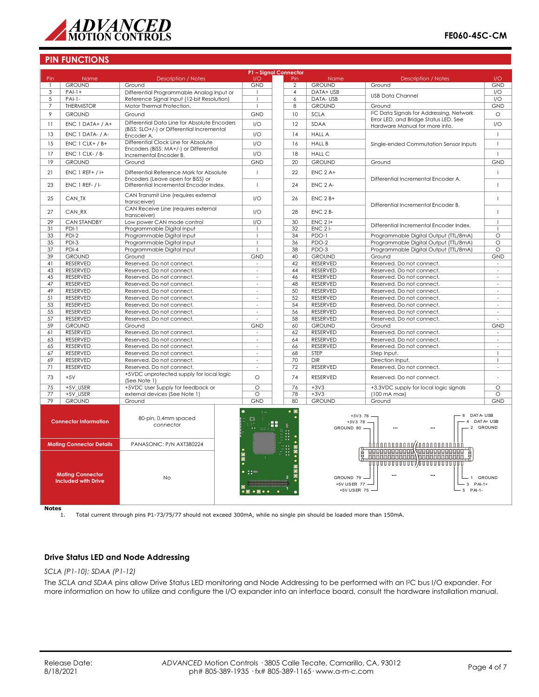

## **PIN FUNCTIONS**

| P1 - Signal Connector                                 |                        |                                                                               |                                                                                                                  |                      |                |                                           |                                                                                                                    |                          |
|-------------------------------------------------------|------------------------|-------------------------------------------------------------------------------|------------------------------------------------------------------------------------------------------------------|----------------------|----------------|-------------------------------------------|--------------------------------------------------------------------------------------------------------------------|--------------------------|
| Pin                                                   | <b>Name</b>            | <b>Description / Notes</b>                                                    | 1/O                                                                                                              |                      | Pin            | <b>Name</b>                               | <b>Description / Notes</b>                                                                                         | 1/O                      |
| $\overline{1}$                                        | <b>GROUND</b>          | Ground                                                                        | GND<br>$\overline{\phantom{a}}$                                                                                  |                      | $\mathfrak{D}$ | <b>GROUND</b>                             | Ground                                                                                                             | <b>GND</b>               |
| 3                                                     | $PAI-1+$               | Differential Programmable Analog Input or                                     |                                                                                                                  |                      | $\overline{4}$ | DATA+ USB                                 | <b>USB Data Channel</b>                                                                                            | I/O                      |
| 5                                                     | $PAI-1-$               | Reference Signal Input (12-bit Resolution)                                    |                                                                                                                  |                      | 6              | DATA-USB                                  |                                                                                                                    | I/O                      |
| $\overline{7}$                                        | <b>THERMISTOR</b>      | Motor Thermal Protection.                                                     |                                                                                                                  |                      | 8              | <b>GROUND</b>                             | Ground                                                                                                             | <b>GND</b>               |
| 9                                                     | <b>GROUND</b>          | Ground                                                                        |                                                                                                                  | <b>GND</b>           | 10             | <b>SCLA</b>                               | <sup>12</sup> C Data Signals for Addressing, Network                                                               | $\circ$                  |
| 11                                                    | $ENC 1 DATA+ / A+$     | Differential Data Line for Absolute Encoders                                  |                                                                                                                  | 1/O                  | 12             | <b>SDAA</b>                               | Error LED, and Bridge Status LED. See<br>Hardware Manual for more info.                                            | 1/O                      |
| 13                                                    |                        | (BiSS: SLO+/-) or Differential Incremental                                    |                                                                                                                  | 1/O                  | 14             | <b>HALL A</b>                             |                                                                                                                    | $\overline{1}$           |
|                                                       | ENC 1 DATA- / A-       | Encoder A.<br>Differential Clock Line for Absolute                            |                                                                                                                  |                      |                |                                           |                                                                                                                    |                          |
| 15                                                    | $ENC 1 CLK+ / B+$      | Encoders (BiSS: MA+/-) or Differential                                        | 1/O                                                                                                              |                      | 16             | <b>HALL B</b>                             | Single-ended Commutation Sensor Inputs                                                                             | $\mathbf{I}$             |
| 17                                                    | ENC 1 CLK- / B-        | Incremental Encoder B.                                                        | 1/O                                                                                                              |                      | 18             | <b>HALL C</b>                             |                                                                                                                    | $\mathbf{I}$             |
| 19                                                    | <b>GROUND</b>          | Ground                                                                        | <b>GND</b>                                                                                                       |                      | 20             | <b>GROUND</b>                             | Ground                                                                                                             | <b>GND</b>               |
| 21                                                    | $ENC$ 1 REF+ / I+      | Differential Reference Mark for Absolute<br>Encoders (Leave open for BiSS) or |                                                                                                                  |                      | 22             | $ENC$ 2 A+                                | Differential Incremental Encoder A.                                                                                | $\mathbf{I}$             |
| 23                                                    | <b>ENC 1 REF- / I-</b> | Differential Incremental Encoder Index.                                       | $\overline{1}$                                                                                                   |                      | 24             | ENC 2 A-                                  |                                                                                                                    | $\mathbf{I}$             |
| 25                                                    | CAN TX                 | CAN Transmit Line (requires external<br>transceiver)                          | 1/O                                                                                                              |                      | 26             | $ENC$ 2 $B+$                              | Differential Incremental Encoder B.                                                                                | $\mathbf{I}$             |
| 27                                                    | CAN RX                 | CAN Receive Line (requires external<br>transceiver)                           | 1/O                                                                                                              |                      | 28             | ENC 2 B-                                  |                                                                                                                    | $\overline{1}$           |
| 29                                                    | <b>CAN STANDBY</b>     | Low power CAN mode control                                                    | I/O                                                                                                              |                      | 30             | $ENC$ 2 $H$                               | Differential Incremental Encoder Index.                                                                            | $\mathbf{I}$             |
| 31                                                    | $PDI-1$                | Programmable Digital Input                                                    | $\overline{1}$                                                                                                   |                      | 32             | $ENC$ 2 $I-$                              |                                                                                                                    | $\mathbf{I}$             |
| 33                                                    | $PDI-2$                | Programmable Digital Input                                                    | $\overline{\phantom{a}}$                                                                                         |                      | 34             | PDO-1                                     | Programmable Digital Output (TTL/8mA)                                                                              | $\circ$                  |
| 35                                                    | PDI-3                  | Programmable Digital Input                                                    | $\overline{\phantom{a}}$<br>$\overline{1}$                                                                       |                      | 36             | PDO-2                                     | Programmable Digital Output (TTL/8mA)                                                                              | $\circ$                  |
| 37                                                    | $PDI-4$                | Programmable Digital Input                                                    |                                                                                                                  |                      | 38             | PDO-3                                     | Programmable Digital Output (TTL/8mA)                                                                              | $\circ$                  |
| 39                                                    | <b>GROUND</b>          | Ground                                                                        |                                                                                                                  | <b>GND</b>           | 40             | <b>GROUND</b>                             | Ground                                                                                                             | <b>GND</b>               |
| 41                                                    | <b>RESERVED</b>        | Reserved. Do not connect.                                                     |                                                                                                                  |                      | 42             | <b>RESERVED</b>                           | Reserved. Do not connect.                                                                                          | $\overline{\phantom{a}}$ |
| 43                                                    | <b>RESERVED</b>        | Reserved. Do not connect.                                                     |                                                                                                                  |                      | 44             | <b>RESERVED</b>                           | Reserved. Do not connect.                                                                                          | $\sim$                   |
| 45                                                    | <b>RESERVED</b>        | Reserved. Do not connect.                                                     |                                                                                                                  |                      | 46             | <b>RESERVED</b>                           | Reserved. Do not connect.                                                                                          | $\overline{\phantom{a}}$ |
| 47                                                    | RESERVED               | Reserved. Do not connect.                                                     |                                                                                                                  |                      | 48             | <b>RESERVED</b>                           | Reserved. Do not connect.                                                                                          | $\overline{\phantom{a}}$ |
| 49                                                    | RESERVED               | Reserved. Do not connect.                                                     |                                                                                                                  |                      | 50             | <b>RESERVED</b>                           | Reserved. Do not connect.                                                                                          | ÷,                       |
| 51                                                    | <b>RESERVED</b>        | Reserved. Do not connect.                                                     |                                                                                                                  |                      | 52             | <b>RESERVED</b>                           | Reserved. Do not connect.                                                                                          | $\sim$                   |
| 53                                                    | RESERVED               | Reserved. Do not connect.                                                     |                                                                                                                  |                      | 54             | <b>RESERVED</b>                           | Reserved. Do not connect.                                                                                          | $\bar{a}$                |
| 55                                                    | <b>RESERVED</b>        | Reserved. Do not connect.                                                     |                                                                                                                  |                      | 56             | RESERVED                                  | Reserved. Do not connect.                                                                                          |                          |
| 57                                                    | <b>RESERVED</b>        | Reserved. Do not connect.                                                     |                                                                                                                  |                      | 58             | RESERVED                                  | Reserved. Do not connect.                                                                                          |                          |
| 59                                                    | <b>GROUND</b>          | Ground                                                                        |                                                                                                                  | <b>GND</b>           | 60             | <b>GROUND</b>                             | Ground                                                                                                             | <b>GND</b>               |
| 61                                                    | <b>RESERVED</b>        | Reserved. Do not connect.                                                     |                                                                                                                  |                      | 62             | RESERVED                                  | Reserved. Do not connect.                                                                                          |                          |
| 63                                                    | <b>RESERVED</b>        | Reserved. Do not connect.                                                     |                                                                                                                  |                      | 64             | <b>RESERVED</b>                           | Reserved. Do not connect.                                                                                          | $\overline{\phantom{a}}$ |
| 65                                                    | RESERVED               | Reserved. Do not connect.                                                     | $\omega$                                                                                                         |                      | 66             | <b>RESERVED</b>                           | Reserved. Do not connect.                                                                                          | ÷,                       |
| 67                                                    | <b>RESERVED</b>        | Reserved. Do not connect.                                                     | ÷,                                                                                                               |                      | 68             | <b>STEP</b>                               | Step Input.                                                                                                        | $\mathbf{I}$             |
| 69                                                    | <b>RESERVED</b>        | Reserved. Do not connect.                                                     | $\sim$                                                                                                           |                      | 70             | <b>DIR</b>                                | Direction Input.                                                                                                   | $\mathbf{I}$             |
| 71                                                    | RESERVED               | Reserved. Do not connect.                                                     | $\overline{a}$                                                                                                   |                      | 72             | <b>RESERVED</b>                           | Reserved. Do not connect.                                                                                          | $\overline{a}$           |
| 73                                                    | $+5V$                  | +5VDC unprotected supply for local logic<br>(See Note 1)                      | $\circ$                                                                                                          |                      | 74             | <b>RESERVED</b>                           | Reserved. Do not connect.                                                                                          |                          |
| 75                                                    | +5V USER               | +5VDC User Supply for feedback or                                             | $\circ$                                                                                                          |                      | 76             | $+3V3$                                    | +3.3VDC supply for local logic signals                                                                             | $\circ$                  |
| 77                                                    | +5V USER               | external devices (See Note 1)                                                 | $\circ$                                                                                                          |                      | 78             | $+3V3$                                    | $(100 \text{ mA max})$                                                                                             | $\circ$                  |
| 79                                                    | <b>GROUND</b>          | Ground                                                                        | <b>GND</b>                                                                                                       |                      | 80             | <b>GROUND</b>                             | Ground                                                                                                             | <b>GND</b>               |
| <b>Connector Information</b><br>connector             |                        | 80-pin, 0.4mm spaced                                                          |                                                                                                                  | $\mathbf{r}$<br>: 22 | $\bullet$ 0    | $+3V3$ 78 -<br>GROUND 80 -                | DATA-USB<br>$+3V3$ 76 -<br>6                                                                                       | DAT A+ USB<br>2 GROUND   |
| <b>Mating Connector Details</b>                       |                        | PANASONIC: P/N AXT380224                                                      |                                                                                                                  |                      |                |                                           | 000000000000000000000000000                                                                                        |                          |
| <b>Mating Connector</b><br><b>Included with Drive</b> |                        | <b>No</b>                                                                     | $\overline{\bullet}$<br>$\bullet\textcolor{red}{\blacksquare}\bullet\textcolor{red}{\blacksquare}\bullet\bullet$ |                      |                | GROUND 79<br>+5V USER 77 -<br>+5V USER 75 | <b>BERBERERER SEBERERERERER</b><br>Ĕ<br>,,,,,,,,,,,,,,,,,,,,,,,,,,,,,,,,,<br>$\cdots$<br>1<br>3 PAI-1+<br>5 PAI-1- | <b>GROUND</b>            |

 $\frac{\text{Notes}}{\text{1}}$ 

1. Total current through pins P1-73/75/77 should not exceed 300mA, while no single pin should be loaded more than 150mA.

# **Drive Status LED and Node Addressing**

#### *SCLA (P1-10); SDAA (P1-12)*

The *SCLA and SDAA* pins allow Drive Status LED monitoring and Node Addressing to be performed with an I2C bus I/O expander. For more information on how to utilize and configure the I/O expander into an interface board, consult the hardware installation manual.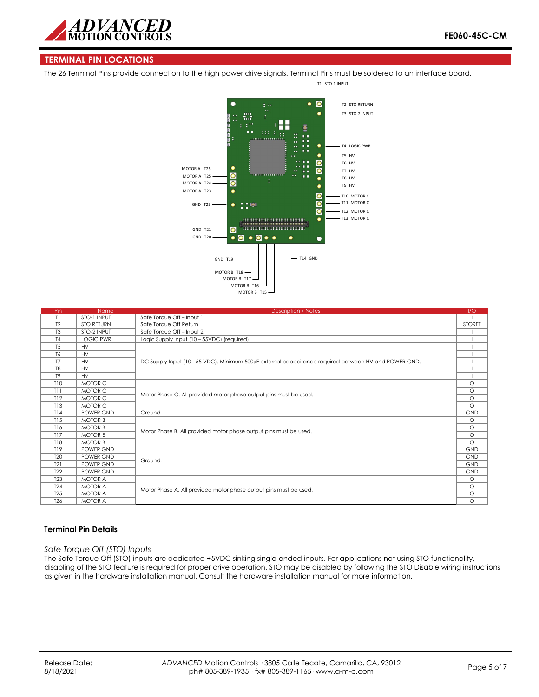

## **TERMINAL PIN LOCATIONS**

The 26 Terminal Pins provide connection to the high power drive signals. Terminal Pins must be soldered to an interface board.



| Pin             | <b>Name</b>       | <b>Description / Notes</b>                                                                           | 1/O           |  |  |
|-----------------|-------------------|------------------------------------------------------------------------------------------------------|---------------|--|--|
| T1              | STO-1 INPUT       | Safe Torque Off - Input 1                                                                            |               |  |  |
| T <sub>2</sub>  | <b>STO RETURN</b> | Safe Torque Off Return                                                                               | <b>STORET</b> |  |  |
| T <sub>3</sub>  | STO-2 INPUT       | Safe Torque Off - Input 2                                                                            |               |  |  |
| T <sub>4</sub>  | <b>LOGIC PWR</b>  | Logic Supply Input (10 - 55VDC) (required)                                                           |               |  |  |
| T <sub>5</sub>  | <b>HV</b>         |                                                                                                      |               |  |  |
| T <sub>6</sub>  | <b>HV</b>         | DC Supply Input (10 - 55 VDC). Minimum 500µF external capacitance required between HV and POWER GND. |               |  |  |
| T <sub>7</sub>  | <b>HV</b>         |                                                                                                      |               |  |  |
| T <sub>8</sub>  | <b>HV</b>         |                                                                                                      |               |  |  |
| T <sub>9</sub>  | <b>HV</b>         |                                                                                                      |               |  |  |
| <b>T10</b>      | MOTOR C           |                                                                                                      | $\circ$       |  |  |
| T11             | MOTOR C           |                                                                                                      |               |  |  |
| T12             | MOTOR C           | Motor Phase C. All provided motor phase output pins must be used.                                    |               |  |  |
| T13             | MOTOR C           |                                                                                                      |               |  |  |
| T14             | POWER GND         | Ground.                                                                                              | <b>GND</b>    |  |  |
| T15             | <b>MOTOR B</b>    |                                                                                                      | $\circ$       |  |  |
| T16             | <b>MOTOR B</b>    | Motor Phase B. All provided motor phase output pins must be used.                                    |               |  |  |
| T17             | <b>MOTOR B</b>    |                                                                                                      |               |  |  |
| <b>T18</b>      | <b>MOTOR B</b>    |                                                                                                      |               |  |  |
| T19             | POWER GND         |                                                                                                      | <b>GND</b>    |  |  |
| T <sub>20</sub> | POWER GND         | Ground.                                                                                              |               |  |  |
| T21             | POWER GND         |                                                                                                      |               |  |  |
| <b>T22</b>      | POWER GND         |                                                                                                      |               |  |  |
| <b>T23</b>      | <b>MOTOR A</b>    |                                                                                                      | $\circ$       |  |  |
| <b>T24</b>      | <b>MOTOR A</b>    | Motor Phase A. All provided motor phase output pins must be used.                                    |               |  |  |
| <b>T25</b>      | <b>MOTOR A</b>    |                                                                                                      |               |  |  |
| T <sub>26</sub> | <b>MOTOR A</b>    |                                                                                                      |               |  |  |

#### **Terminal Pin Details**

#### *Safe Torque Off (STO) Inputs*

The Safe Torque Off (STO) inputs are dedicated +5VDC sinking single-ended inputs. For applications not using STO functionality, disabling of the STO feature is required for proper drive operation. STO may be disabled by following the STO Disable wiring instructions as given in the hardware installation manual. Consult the hardware installation manual for more information.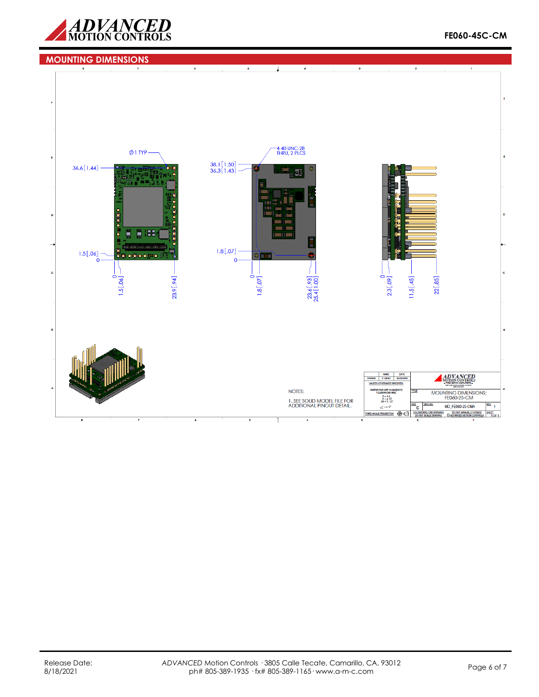

## **MOUNTING DIMENSIONS**